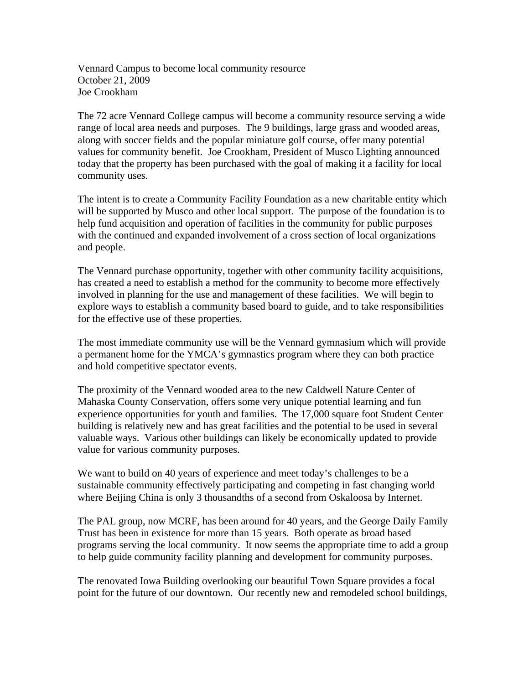Vennard Campus to become local community resource October 21, 2009 Joe Crookham

The 72 acre Vennard College campus will become a community resource serving a wide range of local area needs and purposes. The 9 buildings, large grass and wooded areas, along with soccer fields and the popular miniature golf course, offer many potential values for community benefit. Joe Crookham, President of Musco Lighting announced today that the property has been purchased with the goal of making it a facility for local community uses.

The intent is to create a Community Facility Foundation as a new charitable entity which will be supported by Musco and other local support. The purpose of the foundation is to help fund acquisition and operation of facilities in the community for public purposes with the continued and expanded involvement of a cross section of local organizations and people.

The Vennard purchase opportunity, together with other community facility acquisitions, has created a need to establish a method for the community to become more effectively involved in planning for the use and management of these facilities. We will begin to explore ways to establish a community based board to guide, and to take responsibilities for the effective use of these properties.

The most immediate community use will be the Vennard gymnasium which will provide a permanent home for the YMCA's gymnastics program where they can both practice and hold competitive spectator events.

The proximity of the Vennard wooded area to the new Caldwell Nature Center of Mahaska County Conservation, offers some very unique potential learning and fun experience opportunities for youth and families. The 17,000 square foot Student Center building is relatively new and has great facilities and the potential to be used in several valuable ways. Various other buildings can likely be economically updated to provide value for various community purposes.

We want to build on 40 years of experience and meet today's challenges to be a sustainable community effectively participating and competing in fast changing world where Beijing China is only 3 thousandths of a second from Oskaloosa by Internet.

The PAL group, now MCRF, has been around for 40 years, and the George Daily Family Trust has been in existence for more than 15 years. Both operate as broad based programs serving the local community. It now seems the appropriate time to add a group to help guide community facility planning and development for community purposes.

The renovated Iowa Building overlooking our beautiful Town Square provides a focal point for the future of our downtown. Our recently new and remodeled school buildings,